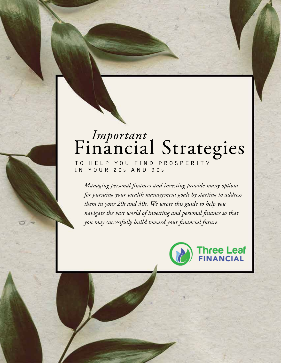# Financial Strategies

TO HELP YOU FIND PROSPERITY IN YOUR 20s AND 30s

*Important* Financial Strategies FOR YOUR 20 s AND 30 s | PAGE 1

*Managing personal finances and investing provide many options for pursuing your wealth management goals by starting to address them in your 20s and 30s. We wrote this guide to help you navigate the vast world of investing and personal finance so that you may successfully build toward your financial future.*

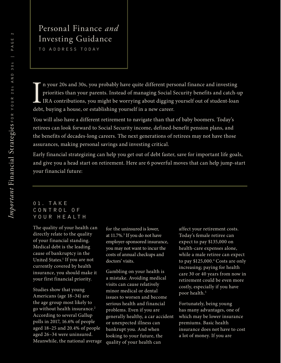## Personal Finance *and* Investing Guidance

TO ADDRESS TODAY

In your 20s and 30s, you probably have quite different perpriorities than your parents. Instead of managing Social SIRA contributions, you might be worrying about digging debt, buying a house, or establishing yourself in a n your 20s and 30s, you probably have quite different personal finance and investing priorities than your parents. Instead of managing Social Security benefits and catch-up IRA contributions, you might be worrying about digging yourself out of student-loan

You will also have a different retirement to navigate than that of baby boomers. Today's retirees can look forward to Social Security income, defined-benefit pension plans, and the benefits of decades-long careers. The next generations of retirees may not have those assurances, making personal savings and investing critical.

Early financial strategizing can help you get out of debt faster, save for important life goals, and give you a head start on retirement. Here are 6 powerful moves that can help jump-start your financial future:

#### 0 1 . T A K E C O N T R O L O F YOUR HEALTH

The quality of your health can directly relate to the quality of your financial standing. Medical debt is the leading cause of bankruptcy in the United States.<sup>1</sup> If you are not currently covered by health insurance, you should make it your first financial priority.

Studies show that young Americans (age 18–34) are the age group most likely to go without health insurance.2 According to several Gallup polls in 2017, 16.6% of people aged 18–25 and 20.4% of people aged 26–34 were uninsured. Meanwhile, the national average for the uninsured is lower, at 11.7%.<sup>3</sup> If you do not have employer-sponsored insurance, you may not want to incur the costs of annual checkups and doctors' visits.

Gambling on your health is a mistake. Avoiding medical visits can cause relatively minor medical or dental issues to worsen and become serious health and financial problems. Even if you are generally healthy, a car accident or unexpected illness can bankrupt you. And when looking to your future, the quality of your health can

affect your retirement costs. Today's female retiree can expect to pay \$135,000 on health-care expenses alone, while a male retiree can expect to pay \$125,000.4 Costs are only increasing; paying for health care 30 or 40 years from now in retirement could be even more costly, especially if you have poor health.<sup>5</sup>

Fortunately, being young has many advantages, one of which may be lower insurance premiums. Basic health insurance does not have to cost a lot of money. If you are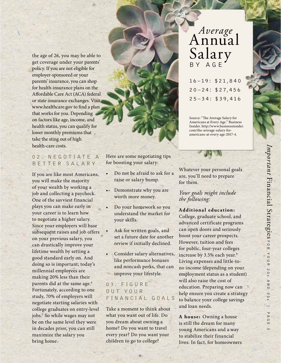the age of 26, you may be able to get coverage under your parents' policy. If you are not eligible for employer-sponsored or your parents' insurance, you can shop for health-insurance plans on the Affordable Care Act (ACA) federal or state insurance exchanges. Visit www.healthcare.gov to find a plan that works for you. Depending on factors like age, income, and health status, you can qualify for lower monthly premiums that take the sting out of high health-care costs.

#### 02. NEGOTIATE A BETTER SALARY

If you are like most Americans, you will make the majority of your wealth by working a job and collecting a paycheck. One of the savviest financial plays you can make early in your career is to learn how to negotiate a higher salary. Since your employers will base subsequent raises and job offers on your previous salary, you can drastically improve your lifetime wealth by setting a good standard early on. And doing so is important; today's millennial employees are making 20% less than their parents did at the same age.<sup>6</sup> Fortunately, according to one study, 70% of employers will negotiate starting salaries with college graduates on entry-level jobs.7 So while wages may not be on the same level they were in decades prior, you can still maximize the salary you bring home.

Here are some negotiating tips for boosting your salary:

- Do not be afraid to ask for a raise or salary bump.
- Demonstrate why you are worth more money.
- Do your homework so you understand the market for your skills.
- Ask for written goals, and set a future date for another review if initially declined.
- Consider salary alternatives, like performance bonuses and noncash perks, that can improve your lifestyle.

#### 03. FIGURE O U T Y O U R FINANCIAL GOALS

Take a moment to think about what you want out of life. Do you dream about owning a home? Do you want to travel every year? Do you want your children to go to college?

## *Average* Annual Salary A G E

16–19: \$21,840  $20 - 24: $27,456$ 25–34: \$39,416

Source: "The Average Salary for Americans at Every Age." Business Insider. http://www.businessinsider. com/the-average-salary-foramericans-at-every-age-2017-4.

Whatever your personal goals are, you'll need to prepare for them.

*Your goals might include the following:*

#### **Additional education:**

College, graduate school, and advanced certificate programs can open doors and seriously boost your career prospects. However, tuition and fees for public, four-year colleges increase by 3.5% each year.<sup>8</sup> Living expenses and little-tono income (depending on your employment status as a student) will also raise the cost of education. Preparing now can help ensure you create a strategy to balance your college savings and loan needs.

**A house:** Owning a house is still the dream for many young Americans and a way to stabilize their financial lives. In fact, for homeowners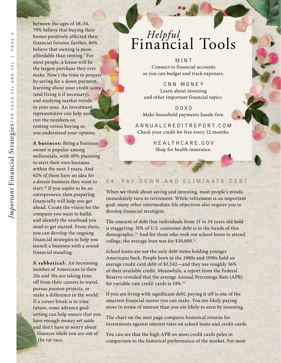between the ages of 18–34, 79% believe that buying their homes positively affected their financial futures; further, 86% believe that owning is more affordable than renting.9 For most people, a house will be the largest purchase they ever make. Now's the time to prepare by saving for a down payment, learning about your credit score (and fixing it if necessary), and studying market trends in your area. An investment representative can help you run the numbers on renting versus buying so you understand your options.

**A business:** Being a business owner is popular among millennials, with 49% planning to start their own business within the next 3 years. And 62% of them have an idea for a dream business they want to start.<sup>10</sup> If you aspire to be an entrepreneur, then preparing financially will help you get ahead. Create the vision for the company you want to build, and identify the overhead you need to get started. From there, you can develop the ongoing financial strategies to help you launch a business with a sound financial standing.

**A sabbatical:** An increasing number of Americans in their 20s and 30s are taking time off from their careers to travel, pursue passion projects, or make a difference in the world. If a career break is in your future, some advance goalsetting can help ensure that you have enough money set aside and don't have to worry about finances while you are out of the rat race.

## *Helpful* Financial Tools

MINT Connect to financial accounts so you can budget and track expenses.

CNN MONEY Learn about investing and other important financial topics.

DOXO Make household payments hassle-free.

ANNUALCREDITREPORT.COM Check your credit for free every 12 months.

> HEALTHCARE.GOV Shop for health insurance.

#### 04. PAY DOWN AND ELIMINATE DEBT

When we think about saving and investing, most people's minds immediately turn to retirement. While retirement is an important goal, many other intermediate life objectives also require you to develop financial strategies.

The amount of debt that individuals from 21 to 34 years old hold is staggering: 31% of U.S. consumer debt is in the hands of this demographic.11 And for those who took out school loans to attend college, the average loan was for \$30,000.12

School loans are not the only debt items holding younger Americans back. People born in the 1980s and 1990s hold an average credit card debt of \$3,542—and they use roughly 36% of their available credit. Meanwhile, a report from the Federal Reserve revealed that the average Annual Percentage Rate (APR) for variable-rate credit cards is 14%.14

If you are living with significant debt, paying it off is one of the smartest financial moves you can make. You are likely paying more in terms of interest than you are likely to earn by investing.

The chart on the next page compares historical returns for investments against interest rates on school loans and credit cards.

You can see that the high APR on most credit cards pales in comparison to the historical performance of the market. For most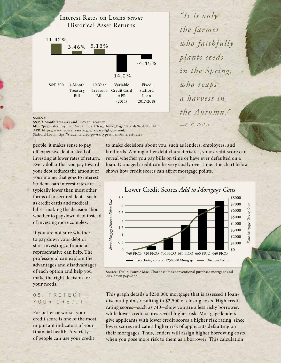

*"It is only the farmer who faithfully plants seeds in the Spring, who reaps a harvest in the Autumn." —B. C. Forbes*

*Important* 

Financial Strategies

FOR YOUR 20

s AND 30

s | PAGE 5

#### Sources:

S&P, 3-Month Treasury and 10-Year Treasury:

http://pages.stern.nyu.edu/~adamodar/New\_Home\_Page/datafile/histretSP.html APR: https://www.federalreserve.gov/releases/g19/current/

(2014)

(2017-2018)

Stafford Loan: https://studentaid.ed.gov/sa/types/loans/interest-rates

people, it makes sense to pay off expensive debt instead of investing at lower rates of return. Every dollar that you pay toward your debt reduces the amount of your money that goes to interest. Student-loan interest rates are typically lower than most other forms of unsecured debt—such as credit cards and medical bills—making the decision about whether to pay down debt instead of investing more complex.

If you are not sure whether to pay down your debt or start investing, a financial representative can help. The professional can explain the advantages and disadvantages of each option and help you make the right decision for your needs.

#### 05. PROTECT YOUR CREDIT

For better or worse, your credit score is one of the most important indicators of your financial health. A variety of people can use your credit

to make decisions about you, such as lenders, employers, and landlords. Among other debt characteristics, your credit score can reveal whether you pay bills on time or have ever defaulted on a loan. Damaged credit can be very costly over time. The chart below shows how credit scores can affect mortgage points.



Source: Trulia, Fannie Mae. Chart assumes conventional purchase mortgage and 20% down payment.

This graph details a \$250,000 mortgage that is assessed 1 loandiscount point, resulting in \$2,500 of closing costs. High credit rating scores-such as 740-show you are a less risky borrower, while lower credit scores reveal higher risk. Mortgage lenders give applicants with lower credit scores a higher risk rating, since lower scores indicate a higher risk of applicants defaulting on their mortgages. Thus, lenders will assign higher borrowing costs when you pose more risk to them as a borrower. This calculation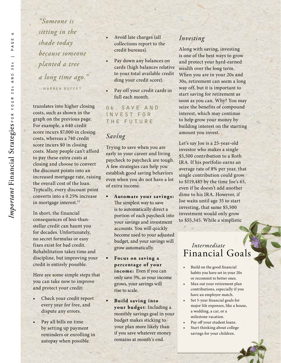*"Someone is sitting in the shade today because someone planted a tree a long time ago."*  —WARREN BUFFET

translates into higher closing costs, such as shown in the graph on the previous page. For example, a 640 credit score incurs \$7,000 in closing costs, whereas a 740 credit score incurs \$0 in closing costs. Many people can't afford to pay these extra costs at closing and choose to convert the discount points into an increased mortgage rate, raising the overall cost of the loan. Typically, every discount point converts into a 0.25% increase in mortgage interest.<sup>15</sup>

In short, the financial consequences of less-thanstellar credit can haunt you for decades. Unfortunately, no secret formulas or easy fixes exist for bad credit. Rehabilitation takes time and discipline, but improving your credit is entirely possible.

Here are some simple steps that you can take now to improve and protect your credit:

- Check your credit report every year for free, and dispute any errors.
- Pay all bills on time by setting up payment reminders or enrolling in autopay when possible.
- Avoid late charges (all collections report to the credit bureaus).
- Pay down any balances on cards (high balances relative to your total available credit ding your credit score).
- Pay off your credit cards in full each month.

06. SAVE AND I N V E S T F O R THE FUTURE

#### *Saving*

Trying to save when you are early in your career and living paycheck to paycheck are tough. A few strategies can help you establish good saving behaviors even when you do not have a lot of extra income.

- **•** Automate your savings: The simplest way to save is to automatically direct a portion of each paycheck into your savings and investment accounts. You will quickly become used to your adjusted budget, and your savings will grow automatically.
	- **Focus on saving a percent a ge of you r income:** Even if you can only save 5%, as your income grows, your savings will rise to scale.
	- **Build saving into your budget**: Including a monthly savings goal in your budget makes sticking to your plan more likely than if you save whatever money remains at month's end.

#### *Investing*

Along with saving, investing is one of the best ways to grow and protect your hard-earned wealth over the long term. When you are in your 20s and 30s, retirement can seem a long way off, but it is important to start saving for retirement as soon as you can. Why? You may seize the benefits of compound interest, which may continue to help grow your money by building interest on the starting amount you invest.

Let's say Joe is a 25-year-old investor who makes a single \$5,500 contribution to a Roth IRA. If his portfolio earns an average rate of 8% per year, that single contribution could grow to \$119,485 by the time Joe's 65, even if he doesn't add another dime to his IRA. However, if Joe waits until age 35 to start investing, that same \$5,500 investment would only grow to \$55,345. While a simplistic

### *Intermediate* Financial Goals

- Build on the good financial habits you have set in your 20s or recommit to better ones.
- Max out your retirement plan contributions, especially if you have an employer match.
- Set 5-year financial goals for major life expenses, like a house, a wedding, a car, or a milestone vacation.
- Pay off your student loans.
- Start thinking about college savings for your children.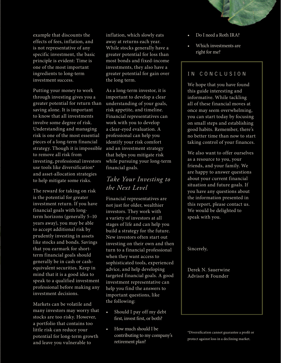

example that discounts the effects of fees, inflation, and is not representative of any specific investment, the basic principle is evident: Time is one of the most important ingredients to long-term investment success.

Putting your money to work through investing gives you a greater potential for return than saving alone. It is important to know that all investments involve some degree of risk. Understanding and managing risk is one of the most essential pieces of a long-term financial strategy. Though it is impossible to remove all risk from investing, professional investors use tools like diversification\* and asset-allocation strategies to help mitigate some risks.

The reward for taking on risk is the potential for greater investment return. If you have financial goals with longterm horizons (generally 5–10 years away), you may be able to accept additional risk by prudently investing in assets like stocks and bonds. Savings that you earmark for shortterm financial goals should generally be in cash or cashequivalent securities. Keep in mind that it is a good idea to speak to a qualified investment professional before making any investment decisions.

Markets can be volatile and many investors may worry that stocks are too risky. However, a portfolio that contains too little risk can reduce your potential for long-term growth and leave you vulnerable to

inflation, which slowly eats away at returns each year. While stocks generally have a greater potential for loss than most bonds and fixed-income investments, they also have a greater potential for gain over the long term.

As a long-term investor, it is important to develop a clear understanding of your goals, risk appetite, and timeline. Financial representatives can work with you to develop a clear-eyed evaluation. A professional can help you identify your risk comfort and an investment strategy that helps you mitigate risk while pursuing your long-term financial goals.

#### *Take Your Investing to the Next Level*

Financial representatives are not just for older, wealthier investors. They work with a variety of investors at all stages of life and can help you build a strategy for the future. New investors often start out investing on their own and then turn to a financial professional when they want access to sophisticated tools, experienced advice, and help developing targeted financial goals. A good investment representative can help you find the answers to important questions, like the following:

- Should I pay off my debt first, invest first, or both?
- How much should I be contributing to my company's retirement plan?
- Do I need a Roth IRA?
- Which investments are right for me?

#### IN CONCLUSION

We hope that you have found this guide interesting and informative. While tackling all of these financial moves at once may seem overwhelming, you can start today by focusing on small steps and establishing good habits. Remember, there's no better time than now to start taking control of your finances.

We also want to offer ourselves as a resource to you, your friends, and your family. We are happy to answer questions about your current financial situation and future goals. If you have any questions about the information presented in this report, please contact us. We would be delighted to speak with you.

Sincerely,

Derek N. Sauerwine Advisor & Founder